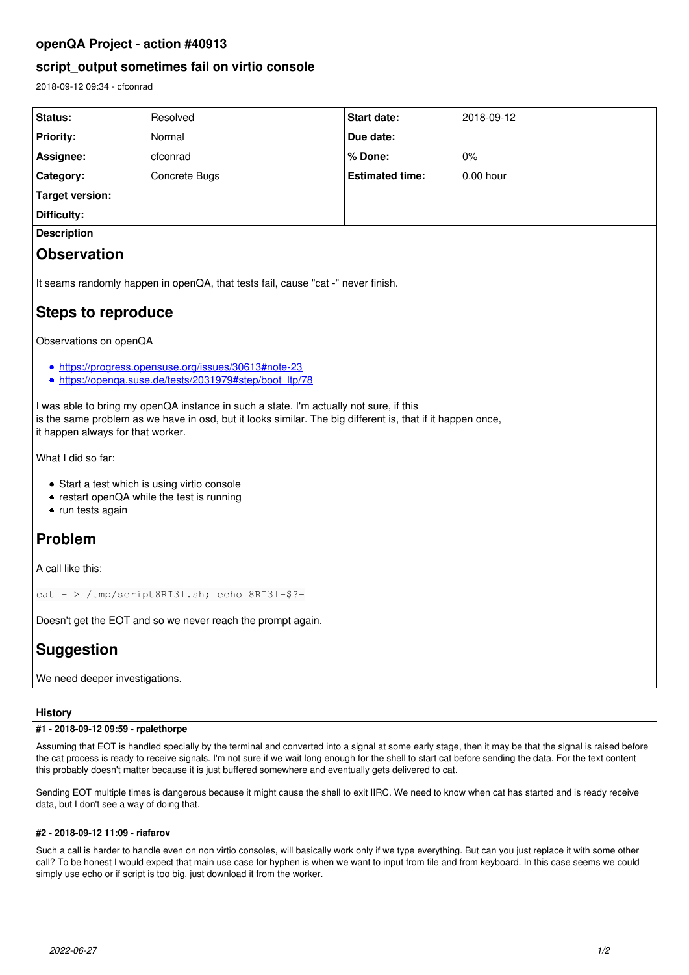# **openQA Project - action #40913**

# **script\_output sometimes fail on virtio console**

2018-09-12 09:34 - cfconrad

| Status:                                                                                                                                                                                                                                   | Resolved      | Start date:            | 2018-09-12  |
|-------------------------------------------------------------------------------------------------------------------------------------------------------------------------------------------------------------------------------------------|---------------|------------------------|-------------|
| <b>Priority:</b>                                                                                                                                                                                                                          | Normal        | Due date:              |             |
| Assignee:                                                                                                                                                                                                                                 | cfconrad      | % Done:                | $0\%$       |
| Category:                                                                                                                                                                                                                                 | Concrete Bugs | <b>Estimated time:</b> | $0.00$ hour |
| <b>Target version:</b>                                                                                                                                                                                                                    |               |                        |             |
| Difficulty:                                                                                                                                                                                                                               |               |                        |             |
| <b>Description</b>                                                                                                                                                                                                                        |               |                        |             |
| <b>Observation</b>                                                                                                                                                                                                                        |               |                        |             |
| It seams randomly happen in openQA, that tests fail, cause "cat -" never finish.<br><b>Steps to reproduce</b>                                                                                                                             |               |                        |             |
|                                                                                                                                                                                                                                           |               |                        |             |
| Observations on openQA                                                                                                                                                                                                                    |               |                        |             |
| • https://progress.opensuse.org/issues/30613#note-23                                                                                                                                                                                      |               |                        |             |
| • https://openga.suse.de/tests/2031979#step/boot_ltp/78                                                                                                                                                                                   |               |                        |             |
| I was able to bring my openQA instance in such a state. I'm actually not sure, if this<br>is the same problem as we have in osd, but it looks similar. The big different is, that if it happen once,<br>it happen always for that worker. |               |                        |             |
| What I did so far:                                                                                                                                                                                                                        |               |                        |             |
| • Start a test which is using virtio console<br>• restart openQA while the test is running<br>• run tests again                                                                                                                           |               |                        |             |
| Problem                                                                                                                                                                                                                                   |               |                        |             |
| A call like this:                                                                                                                                                                                                                         |               |                        |             |
| cat - > /tmp/script8RI31.sh; echo 8RI31-\$?-                                                                                                                                                                                              |               |                        |             |
| Doesn't get the EOT and so we never reach the prompt again.                                                                                                                                                                               |               |                        |             |
| <b>Suggestion</b>                                                                                                                                                                                                                         |               |                        |             |
| We need deeper investigations.                                                                                                                                                                                                            |               |                        |             |

## **History**

## **#1 - 2018-09-12 09:59 - rpalethorpe**

Assuming that EOT is handled specially by the terminal and converted into a signal at some early stage, then it may be that the signal is raised before the cat process is ready to receive signals. I'm not sure if we wait long enough for the shell to start cat before sending the data. For the text content this probably doesn't matter because it is just buffered somewhere and eventually gets delivered to cat.

Sending EOT multiple times is dangerous because it might cause the shell to exit IIRC. We need to know when cat has started and is ready receive data, but I don't see a way of doing that.

## **#2 - 2018-09-12 11:09 - riafarov**

Such a call is harder to handle even on non virtio consoles, will basically work only if we type everything. But can you just replace it with some other call? To be honest I would expect that main use case for hyphen is when we want to input from file and from keyboard. In this case seems we could simply use echo or if script is too big, just download it from the worker.